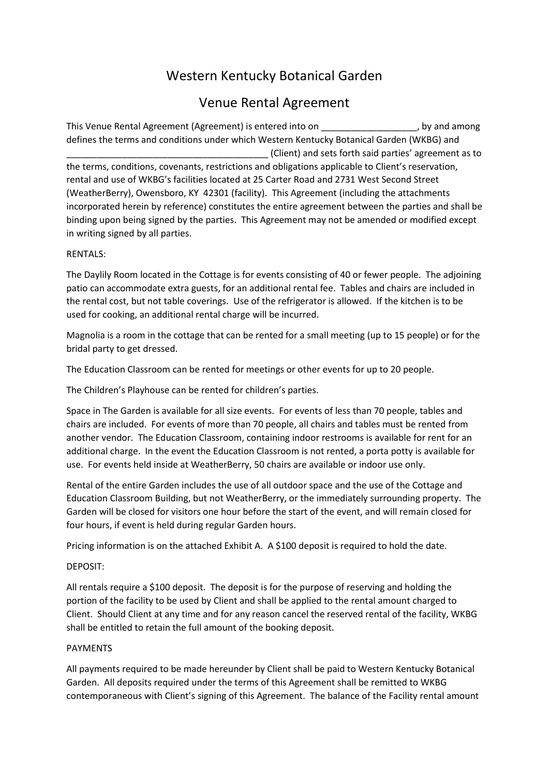# Western Kentucky Botanical Garden

# Venue Rental Agreement

This Venue Rental Agreement (Agreement) is entered into on \_\_\_\_\_\_\_\_\_\_\_\_\_\_\_\_\_\_\_, by and among defines the terms and conditions under which Western Kentucky Botanical Garden (WKBG) and \_\_\_\_\_\_\_\_\_\_\_\_\_\_\_\_\_\_\_\_\_\_\_\_\_\_\_\_\_\_\_\_\_\_\_\_\_\_\_\_ (Client) and sets forth said parties' agreement as to the terms, conditions, covenants, restrictions and obligations applicable to Client's reservation, rental and use of WKBG's facilities located at 25 Carter Road and 2731 West Second Street (WeatherBerry), Owensboro, KY 42301 (facility). This Agreement (including the attachments incorporated herein by reference) constitutes the entire agreement between the parties and shall be binding upon being signed by the parties. This Agreement may not be amended or modified except in writing signed by all parties.

## RENTALS:

The Daylily Room located in the Cottage is for events consisting of 40 or fewer people. The adjoining patio can accommodate extra guests, for an additional rental fee. Tables and chairs are included in the rental cost, but not table coverings. Use of the refrigerator is allowed. If the kitchen is to be used for cooking, an additional rental charge will be incurred.

Magnolia is a room in the cottage that can be rented for a small meeting (up to 15 people) or for the bridal party to get dressed.

The Education Classroom can be rented for meetings or other events for up to 20 people.

The Children's Playhouse can be rented for children's parties.

Space in The Garden is available for all size events. For events of less than 70 people, tables and chairs are included. For events of more than 70 people, all chairs and tables must be rented from another vendor. The Education Classroom, containing indoor restrooms is available for rent for an additional charge. In the event the Education Classroom is not rented, a porta potty is available for use. For events held inside at WeatherBerry, 50 chairs are available or indoor use only.

Rental of the entire Garden includes the use of all outdoor space and the use of the Cottage and Education Classroom Building, but not WeatherBerry, or the immediately surrounding property. The Garden will be closed for visitors one hour before the start of the event, and will remain closed for four hours, if event is held during regular Garden hours.

Pricing information is on the attached Exhibit A. A \$100 deposit is required to hold the date.

#### DEPOSIT:

All rentals require a \$100 deposit. The deposit is for the purpose of reserving and holding the portion of the facility to be used by Client and shall be applied to the rental amount charged to Client. Should Client at any time and for any reason cancel the reserved rental of the facility, WKBG shall be entitled to retain the full amount of the booking deposit.

#### PAYMENTS

All payments required to be made hereunder by Client shall be paid to Western Kentucky Botanical Garden. All deposits required under the terms of this Agreement shall be remitted to WKBG contemporaneous with Client's signing of this Agreement. The balance of the Facility rental amount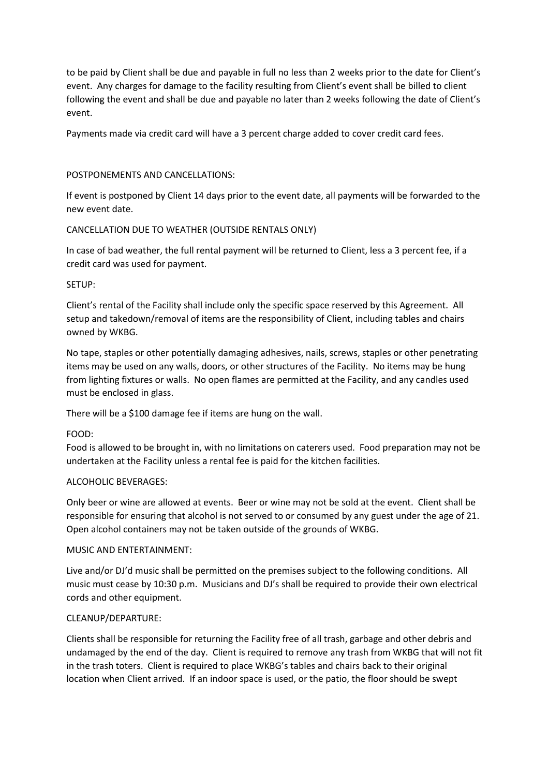to be paid by Client shall be due and payable in full no less than 2 weeks prior to the date for Client's event. Any charges for damage to the facility resulting from Client's event shall be billed to client following the event and shall be due and payable no later than 2 weeks following the date of Client's event.

Payments made via credit card will have a 3 percent charge added to cover credit card fees.

#### POSTPONEMENTS AND CANCELLATIONS:

If event is postponed by Client 14 days prior to the event date, all payments will be forwarded to the new event date.

## CANCELLATION DUE TO WEATHER (OUTSIDE RENTALS ONLY)

In case of bad weather, the full rental payment will be returned to Client, less a 3 percent fee, if a credit card was used for payment.

#### SETUP:

Client's rental of the Facility shall include only the specific space reserved by this Agreement. All setup and takedown/removal of items are the responsibility of Client, including tables and chairs owned by WKBG.

No tape, staples or other potentially damaging adhesives, nails, screws, staples or other penetrating items may be used on any walls, doors, or other structures of the Facility. No items may be hung from lighting fixtures or walls. No open flames are permitted at the Facility, and any candles used must be enclosed in glass.

There will be a \$100 damage fee if items are hung on the wall.

#### FOOD:

Food is allowed to be brought in, with no limitations on caterers used. Food preparation may not be undertaken at the Facility unless a rental fee is paid for the kitchen facilities.

#### ALCOHOLIC BEVERAGES:

Only beer or wine are allowed at events. Beer or wine may not be sold at the event. Client shall be responsible for ensuring that alcohol is not served to or consumed by any guest under the age of 21. Open alcohol containers may not be taken outside of the grounds of WKBG.

#### MUSIC AND ENTERTAINMENT:

Live and/or DJ'd music shall be permitted on the premises subject to the following conditions. All music must cease by 10:30 p.m. Musicians and DJ's shall be required to provide their own electrical cords and other equipment.

#### CLEANUP/DEPARTURE:

Clients shall be responsible for returning the Facility free of all trash, garbage and other debris and undamaged by the end of the day. Client is required to remove any trash from WKBG that will not fit in the trash toters. Client is required to place WKBG's tables and chairs back to their original location when Client arrived. If an indoor space is used, or the patio, the floor should be swept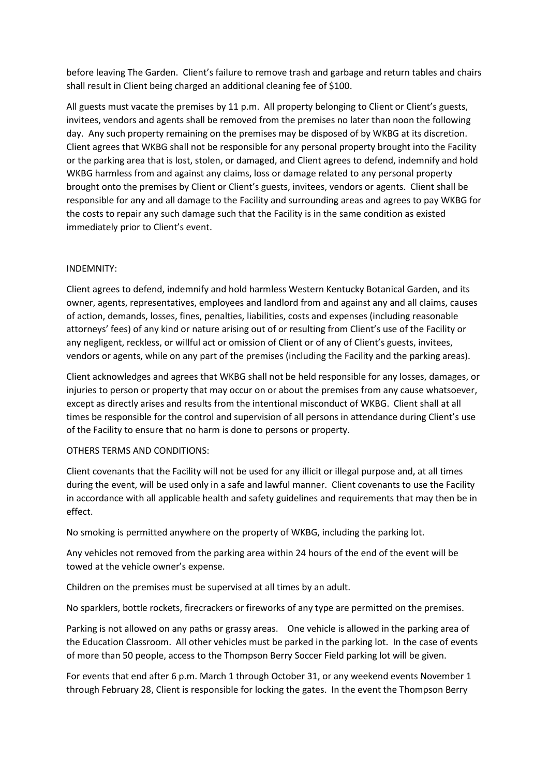before leaving The Garden. Client's failure to remove trash and garbage and return tables and chairs shall result in Client being charged an additional cleaning fee of \$100.

All guests must vacate the premises by 11 p.m. All property belonging to Client or Client's guests, invitees, vendors and agents shall be removed from the premises no later than noon the following day. Any such property remaining on the premises may be disposed of by WKBG at its discretion. Client agrees that WKBG shall not be responsible for any personal property brought into the Facility or the parking area that is lost, stolen, or damaged, and Client agrees to defend, indemnify and hold WKBG harmless from and against any claims, loss or damage related to any personal property brought onto the premises by Client or Client's guests, invitees, vendors or agents. Client shall be responsible for any and all damage to the Facility and surrounding areas and agrees to pay WKBG for the costs to repair any such damage such that the Facility is in the same condition as existed immediately prior to Client's event.

## INDEMNITY:

Client agrees to defend, indemnify and hold harmless Western Kentucky Botanical Garden, and its owner, agents, representatives, employees and landlord from and against any and all claims, causes of action, demands, losses, fines, penalties, liabilities, costs and expenses (including reasonable attorneys' fees) of any kind or nature arising out of or resulting from Client's use of the Facility or any negligent, reckless, or willful act or omission of Client or of any of Client's guests, invitees, vendors or agents, while on any part of the premises (including the Facility and the parking areas).

Client acknowledges and agrees that WKBG shall not be held responsible for any losses, damages, or injuries to person or property that may occur on or about the premises from any cause whatsoever, except as directly arises and results from the intentional misconduct of WKBG. Client shall at all times be responsible for the control and supervision of all persons in attendance during Client's use of the Facility to ensure that no harm is done to persons or property.

#### OTHERS TERMS AND CONDITIONS:

Client covenants that the Facility will not be used for any illicit or illegal purpose and, at all times during the event, will be used only in a safe and lawful manner. Client covenants to use the Facility in accordance with all applicable health and safety guidelines and requirements that may then be in effect.

No smoking is permitted anywhere on the property of WKBG, including the parking lot.

Any vehicles not removed from the parking area within 24 hours of the end of the event will be towed at the vehicle owner's expense.

Children on the premises must be supervised at all times by an adult.

No sparklers, bottle rockets, firecrackers or fireworks of any type are permitted on the premises.

Parking is not allowed on any paths or grassy areas. One vehicle is allowed in the parking area of the Education Classroom. All other vehicles must be parked in the parking lot. In the case of events of more than 50 people, access to the Thompson Berry Soccer Field parking lot will be given.

For events that end after 6 p.m. March 1 through October 31, or any weekend events November 1 through February 28, Client is responsible for locking the gates. In the event the Thompson Berry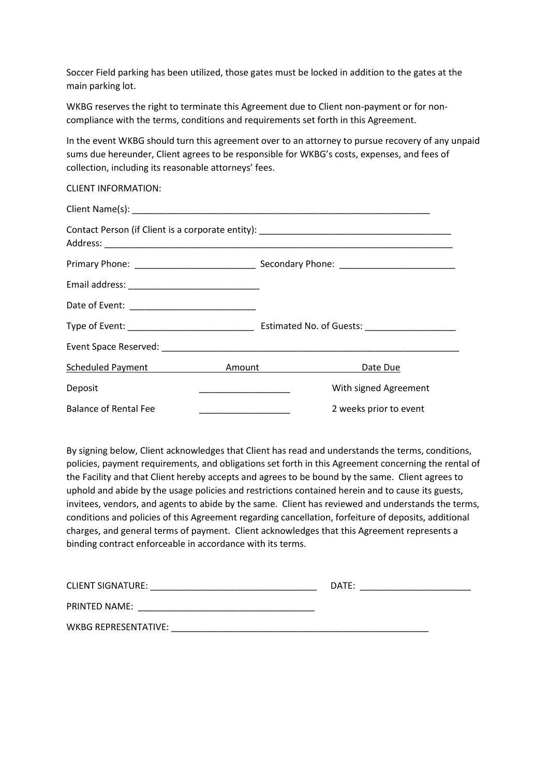Soccer Field parking has been utilized, those gates must be locked in addition to the gates at the main parking lot.

WKBG reserves the right to terminate this Agreement due to Client non-payment or for noncompliance with the terms, conditions and requirements set forth in this Agreement.

In the event WKBG should turn this agreement over to an attorney to pursue recovery of any unpaid sums due hereunder, Client agrees to be responsible for WKBG's costs, expenses, and fees of collection, including its reasonable attorneys' fees.

| <b>CLIENT INFORMATION:</b>                       |                        |  |
|--------------------------------------------------|------------------------|--|
|                                                  |                        |  |
|                                                  |                        |  |
|                                                  |                        |  |
|                                                  |                        |  |
|                                                  |                        |  |
|                                                  |                        |  |
|                                                  |                        |  |
| Scheduled Payment <b>Example 2 Amount</b> Amount | Date Due               |  |
| Deposit                                          | With signed Agreement  |  |
| <b>Balance of Rental Fee</b>                     | 2 weeks prior to event |  |

By signing below, Client acknowledges that Client has read and understands the terms, conditions, policies, payment requirements, and obligations set forth in this Agreement concerning the rental of the Facility and that Client hereby accepts and agrees to be bound by the same. Client agrees to uphold and abide by the usage policies and restrictions contained herein and to cause its guests, invitees, vendors, and agents to abide by the same. Client has reviewed and understands the terms, conditions and policies of this Agreement regarding cancellation, forfeiture of deposits, additional charges, and general terms of payment. Client acknowledges that this Agreement represents a binding contract enforceable in accordance with its terms.

| <b>CLIENT SIGNATURE:</b> | DATE: |
|--------------------------|-------|
|                          |       |
| <b>PRINTED NAME:</b>     |       |
| WKBG REPRESENTATIVE:     |       |